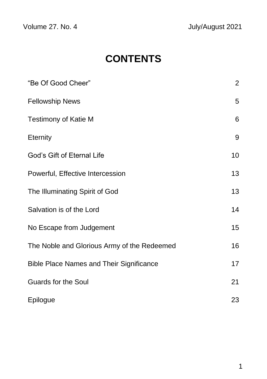Volume 27. No. 4 July/August 2021

# **CONTENTS**

| "Be Of Good Cheer"                              | $\overline{2}$ |
|-------------------------------------------------|----------------|
| <b>Fellowship News</b>                          | 5              |
| <b>Testimony of Katie M</b>                     | 6              |
| <b>Eternity</b>                                 | 9              |
| God's Gift of Eternal Life                      | 10             |
| Powerful, Effective Intercession                | 13             |
| The Illuminating Spirit of God                  | 13             |
| Salvation is of the Lord                        | 14             |
| No Escape from Judgement                        | 15             |
| The Noble and Glorious Army of the Redeemed     | 16             |
| <b>Bible Place Names and Their Significance</b> | 17             |
| <b>Guards for the Soul</b>                      | 21             |
| Epilogue                                        | 23             |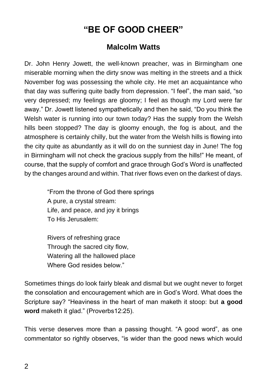## **"BE OF GOOD CHEER"**

### **Malcolm Watts**

Dr. John Henry Jowett, the well-known preacher, was in Birmingham one miserable morning when the dirty snow was melting in the streets and a thick November fog was possessing the whole city. He met an acquaintance who that day was suffering quite badly from depression. "I feel", the man said, "so very depressed; my feelings are gloomy; I feel as though my Lord were far away." Dr. Jowett listened sympathetically and then he said, "Do you think the Welsh water is running into our town today? Has the supply from the Welsh hills been stopped? The day is gloomy enough, the fog is about, and the atmosphere is certainly chilly, but the water from the Welsh hills is flowing into the city quite as abundantly as it will do on the sunniest day in June! The fog in Birmingham will not check the gracious supply from the hills!" He meant, of course, that the supply of comfort and grace through God's Word is unaffected by the changes around and within. That river flows even on the darkest of days.

> "From the throne of God there springs A pure, a crystal stream: Life, and peace, and joy it brings To His Jerusalem:

Rivers of refreshing grace Through the sacred city flow, Watering all the hallowed place Where God resides below."

Sometimes things do look fairly bleak and dismal but we ought never to forget the consolation and encouragement which are in God's Word. What does the Scripture say? "Heaviness in the heart of man maketh it stoop: but **a good word** maketh it glad." (Proverbs12:25).

This verse deserves more than a passing thought. "A good word", as one commentator so rightly observes, "is wider than the good news which would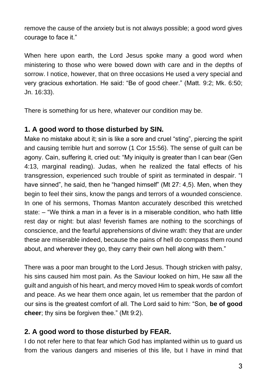remove the cause of the anxiety but is not always possible; a good word gives courage to face it."

When here upon earth, the Lord Jesus spoke many a good word when ministering to those who were bowed down with care and in the depths of sorrow. I notice, however, that on three occasions He used a very special and very gracious exhortation. He said: "Be of good cheer." (Matt. 9:2; Mk. 6:50; Jn. 16:33).

There is something for us here, whatever our condition may be.

#### **1. A good word to those disturbed by SIN.**

Make no mistake about it; sin is like a sore and cruel "sting", piercing the spirit and causing terrible hurt and sorrow (1 Cor 15:56). The sense of guilt can be agony. Cain, suffering it, cried out: "My iniquity is greater than I can bear (Gen 4:13, marginal reading). Judas, when he realized the fatal effects of his transgression, experienced such trouble of spirit as terminated in despair. "I have sinned", he said, then he "hanged himself" (Mt 27: 4,5). Men, when they begin to feel their sins, know the pangs and terrors of a wounded conscience. In one of his sermons, Thomas Manton accurately described this wretched state: – "We think a man in a fever is in a miserable condition, who hath little rest day or night: but alas! feverish flames are nothing to the scorchings of conscience, and the fearful apprehensions of divine wrath: they that are under these are miserable indeed, because the pains of hell do compass them round about, and wherever they go, they carry their own hell along with them."

There was a poor man brought to the Lord Jesus. Though stricken with palsy, his sins caused him most pain. As the Saviour looked on him, He saw all the guilt and anguish of his heart, and mercy moved Him to speak words of comfort and peace. As we hear them once again, let us remember that the pardon of our sins is the greatest comfort of all. The Lord said to him: "Son, **be of good cheer**; thy sins be forgiven thee." (Mt 9:2).

#### **2. A good word to those disturbed by FEAR.**

I do not refer here to that fear which God has implanted within us to guard us from the various dangers and miseries of this life, but I have in mind that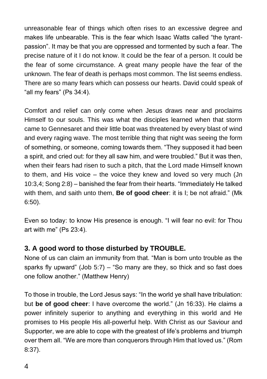unreasonable fear of things which often rises to an excessive degree and makes life unbearable. This is the fear which Isaac Watts called "the tyrantpassion". It may be that you are oppressed and tormented by such a fear. The precise nature of it I do not know. It could be the fear of a person. It could be the fear of some circumstance. A great many people have the fear of the unknown. The fear of death is perhaps most common. The list seems endless. There are so many fears which can possess our hearts. David could speak of "all my fears" (Ps 34:4).

Comfort and relief can only come when Jesus draws near and proclaims Himself to our souls. This was what the disciples learned when that storm came to Gennesaret and their little boat was threatened by every blast of wind and every raging wave. The most terrible thing that night was seeing the form of something, or someone, coming towards them. "They supposed it had been a spirit, and cried out: for they all saw him, and were troubled." But it was then, when their fears had risen to such a pitch, that the Lord made Himself known to them, and His voice – the voice they knew and loved so very much (Jn 10:3,4; Song 2:8) – banished the fear from their hearts. "Immediately He talked with them, and saith unto them, **Be of good cheer**: it is I; be not afraid." (Mk 6:50).

Even so today: to know His presence is enough. "I will fear no evil: for Thou art with me" (Ps 23:4).

#### **3. A good word to those disturbed by TROUBLE.**

None of us can claim an immunity from that. "Man is born unto trouble as the sparks fly upward" (Job 5:7) – "So many are they, so thick and so fast does one follow another." (Matthew Henry)

To those in trouble, the Lord Jesus says: "In the world ye shall have tribulation: but **be of good cheer**: I have overcome the world." (Jn 16:33). He claims a power infinitely superior to anything and everything in this world and He promises to His people His all-powerful help. With Christ as our Saviour and Supporter, we are able to cope with the greatest of life's problems and triumph over them all. "We are more than conquerors through Him that loved us." (Rom 8:37).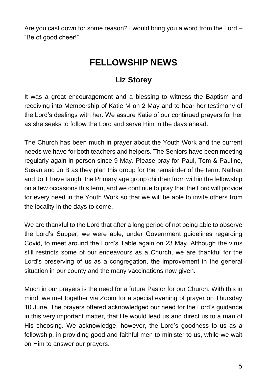Are you cast down for some reason? I would bring you a word from the Lord – "Be of good cheer!"

## **FELLOWSHIP NEWS**

#### **Liz Storey**

It was a great encouragement and a blessing to witness the Baptism and receiving into Membership of Katie M on 2 May and to hear her testimony of the Lord's dealings with her. We assure Katie of our continued prayers for her as she seeks to follow the Lord and serve Him in the days ahead.

The Church has been much in prayer about the Youth Work and the current needs we have for both teachers and helpers. The Seniors have been meeting regularly again in person since 9 May. Please pray for Paul, Tom & Pauline, Susan and Jo B as they plan this group for the remainder of the term. Nathan and Jo T have taught the Primary age group children from within the fellowship on a few occasions this term, and we continue to pray that the Lord will provide for every need in the Youth Work so that we will be able to invite others from the locality in the days to come.

We are thankful to the Lord that after a long period of not being able to observe the Lord's Supper, we were able, under Government guidelines regarding Covid, to meet around the Lord's Table again on 23 May. Although the virus still restricts some of our endeavours as a Church, we are thankful for the Lord's preserving of us as a congregation, the improvement in the general situation in our county and the many vaccinations now given.

Much in our prayers is the need for a future Pastor for our Church. With this in mind, we met together via Zoom for a special evening of prayer on Thursday 10 June. The prayers offered acknowledged our need for the Lord's guidance in this very important matter, that He would lead us and direct us to a man of His choosing. We acknowledge, however, the Lord's goodness to us as a fellowship, in providing good and faithful men to minister to us, while we wait on Him to answer our prayers.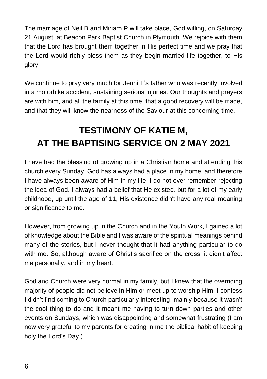The marriage of Neil B and Miriam P will take place, God willing, on Saturday 21 August, at Beacon Park Baptist Church in Plymouth. We rejoice with them that the Lord has brought them together in His perfect time and we pray that the Lord would richly bless them as they begin married life together, to His glory.

We continue to pray very much for Jenni T's father who was recently involved in a motorbike accident, sustaining serious injuries. Our thoughts and prayers are with him, and all the family at this time, that a good recovery will be made, and that they will know the nearness of the Saviour at this concerning time.

## **TESTIMONY OF KATIE M, AT THE BAPTISING SERVICE ON 2 MAY 2021**

I have had the blessing of growing up in a Christian home and attending this church every Sunday. God has always had a place in my home, and therefore I have always been aware of Him in my life. I do not ever remember rejecting the idea of God. I always had a belief that He existed. but for a lot of my early childhood, up until the age of 11, His existence didn't have any real meaning or significance to me.

However, from growing up in the Church and in the Youth Work, I gained a lot of knowledge about the Bible and I was aware of the spiritual meanings behind many of the stories, but I never thought that it had anything particular to do with me. So, although aware of Christ's sacrifice on the cross, it didn't affect me personally, and in my heart.

God and Church were very normal in my family, but I knew that the overriding majority of people did not believe in Him or meet up to worship Him. I confess I didn't find coming to Church particularly interesting, mainly because it wasn't the cool thing to do and it meant me having to turn down parties and other events on Sundays, which was disappointing and somewhat frustrating (I am now very grateful to my parents for creating in me the biblical habit of keeping holy the Lord's Day.)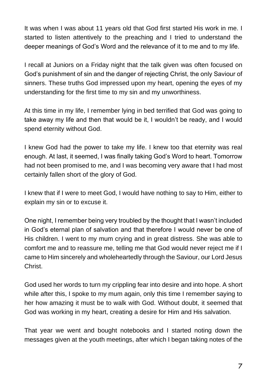It was when I was about 11 years old that God first started His work in me. I started to listen attentively to the preaching and I tried to understand the deeper meanings of God's Word and the relevance of it to me and to my life.

I recall at Juniors on a Friday night that the talk given was often focused on God's punishment of sin and the danger of rejecting Christ, the only Saviour of sinners. These truths God impressed upon my heart, opening the eyes of my understanding for the first time to my sin and my unworthiness.

At this time in my life, I remember lying in bed terrified that God was going to take away my life and then that would be it, I wouldn't be ready, and I would spend eternity without God.

I knew God had the power to take my life. I knew too that eternity was real enough. At last, it seemed, I was finally taking God's Word to heart. Tomorrow had not been promised to me, and I was becoming very aware that I had most certainly fallen short of the glory of God.

I knew that if I were to meet God, I would have nothing to say to Him, either to explain my sin or to excuse it.

One night, I remember being very troubled by the thought that I wasn't included in God's eternal plan of salvation and that therefore I would never be one of His children. I went to my mum crying and in great distress. She was able to comfort me and to reassure me, telling me that God would never reject me if I came to Him sincerely and wholeheartedly through the Saviour, our Lord Jesus Christ.

God used her words to turn my crippling fear into desire and into hope. A short while after this, I spoke to my mum again, only this time I remember saying to her how amazing it must be to walk with God. Without doubt, it seemed that God was working in my heart, creating a desire for Him and His salvation.

That year we went and bought notebooks and I started noting down the messages given at the youth meetings, after which I began taking notes of the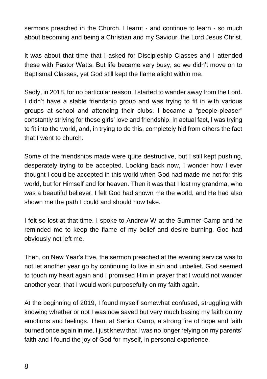sermons preached in the Church. I learnt - and continue to learn - so much about becoming and being a Christian and my Saviour, the Lord Jesus Christ.

It was about that time that I asked for Discipleship Classes and I attended these with Pastor Watts. But life became very busy, so we didn't move on to Baptismal Classes, yet God still kept the flame alight within me.

Sadly, in 2018, for no particular reason, I started to wander away from the Lord. I didn't have a stable friendship group and was trying to fit in with various groups at school and attending their clubs. I became a "people-pleaser" constantly striving for these girls' love and friendship. In actual fact, I was trying to fit into the world, and, in trying to do this, completely hid from others the fact that I went to church.

Some of the friendships made were quite destructive, but I still kept pushing, desperately trying to be accepted. Looking back now, I wonder how I ever thought I could be accepted in this world when God had made me not for this world, but for Himself and for heaven. Then it was that I lost my grandma, who was a beautiful believer. I felt God had shown me the world, and He had also shown me the path I could and should now take.

I felt so lost at that time. I spoke to Andrew W at the Summer Camp and he reminded me to keep the flame of my belief and desire burning. God had obviously not left me.

Then, on New Year's Eve, the sermon preached at the evening service was to not let another year go by continuing to live in sin and unbelief. God seemed to touch my heart again and I promised Him in prayer that I would not wander another year, that I would work purposefully on my faith again.

At the beginning of 2019, I found myself somewhat confused, struggling with knowing whether or not I was now saved but very much basing my faith on my emotions and feelings. Then, at Senior Camp, a strong fire of hope and faith burned once again in me. I just knew that I was no longer relying on my parents' faith and I found the joy of God for myself, in personal experience.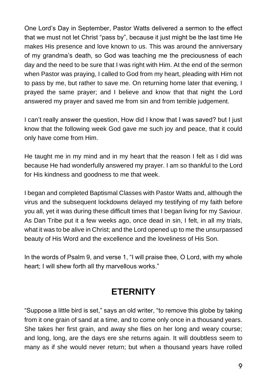One Lord's Day in September, Pastor Watts delivered a sermon to the effect that we must not let Christ "pass by", because it just might be the last time He makes His presence and love known to us. This was around the anniversary of my grandma's death, so God was teaching me the preciousness of each day and the need to be sure that I was right with Him. At the end of the sermon when Pastor was praying, I called to God from my heart, pleading with Him not to pass by me, but rather to save me. On returning home later that evening, I prayed the same prayer; and I believe and know that that night the Lord answered my prayer and saved me from sin and from terrible judgement.

I can't really answer the question, How did I know that I was saved? but I just know that the following week God gave me such joy and peace, that it could only have come from Him.

He taught me in my mind and in my heart that the reason I felt as I did was because He had wonderfully answered my prayer. I am so thankful to the Lord for His kindness and goodness to me that week.

I began and completed Baptismal Classes with Pastor Watts and, although the virus and the subsequent lockdowns delayed my testifying of my faith before you all, yet it was during these difficult times that I began living for my Saviour. As Dan Tribe put it a few weeks ago, once dead in sin, I felt, in all my trials, what it was to be alive in Christ; and the Lord opened up to me the unsurpassed beauty of His Word and the excellence and the loveliness of His Son.

In the words of Psalm 9, and verse 1, "I will praise thee, O Lord, with my whole heart; I will shew forth all thy marvellous works."

### **ETERNITY**

"Suppose a little bird is set," says an old writer, "to remove this globe by taking from it one grain of sand at a time, and to come only once in a thousand years. She takes her first grain, and away she flies on her long and weary course; and long, long, are the days ere she returns again. It will doubtless seem to many as if she would never return; but when a thousand years have rolled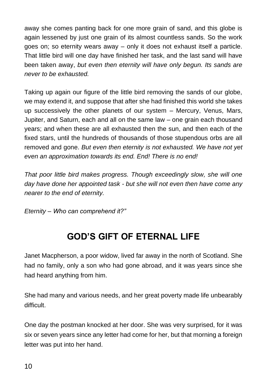away she comes panting back for one more grain of sand, and this globe is again lessened by just one grain of its almost countless sands. So the work goes on; so eternity wears away – only it does not exhaust itself a particle. That little bird will one day have finished her task, and the last sand will have been taken away, *but even then eternity will have only begun. Its sands are never to be exhausted.* 

Taking up again our figure of the little bird removing the sands of our globe, we may extend it, and suppose that after she had finished this world she takes up successively the other planets of our system – Mercury, Venus, Mars, Jupiter, and Saturn, each and all on the same law – one grain each thousand years; and when these are all exhausted then the sun, and then each of the fixed stars, until the hundreds of thousands of those stupendous orbs are all removed and gone. *But even then eternity is not exhausted. We have not yet even an approximation towards its end. End! There is no end!*

*That poor little bird makes progress. Though exceedingly slow, she will one day have done her appointed task - but she will not even then have come any nearer to the end of eternity.* 

*Eternity – Who can comprehend it?"*

## **GOD'S GIFT OF ETERNAL LIFE**

Janet Macpherson, a poor widow, lived far away in the north of Scotland. She had no family, only a son who had gone abroad, and it was years since she had heard anything from him.

She had many and various needs, and her great poverty made life unbearably difficult.

One day the postman knocked at her door. She was very surprised, for it was six or seven years since any letter had come for her, but that morning a foreign letter was put into her hand.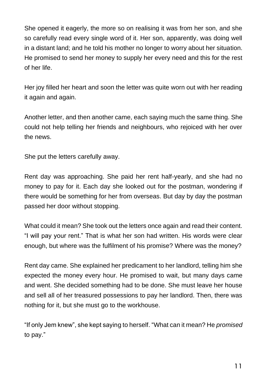She opened it eagerly, the more so on realising it was from her son, and she so carefully read every single word of it. Her son, apparently, was doing well in a distant land; and he told his mother no longer to worry about her situation. He promised to send her money to supply her every need and this for the rest of her life.

Her joy filled her heart and soon the letter was quite worn out with her reading it again and again.

Another letter, and then another came, each saying much the same thing. She could not help telling her friends and neighbours, who rejoiced with her over the news.

She put the letters carefully away.

Rent day was approaching. She paid her rent half-yearly, and she had no money to pay for it. Each day she looked out for the postman, wondering if there would be something for her from overseas. But day by day the postman passed her door without stopping.

What could it mean? She took out the letters once again and read their content. "I will pay your rent." That is what her son had written. His words were clear enough, but where was the fulfilment of his promise? Where was the money?

Rent day came. She explained her predicament to her landlord, telling him she expected the money every hour. He promised to wait, but many days came and went. She decided something had to be done. She must leave her house and sell all of her treasured possessions to pay her landlord. Then, there was nothing for it, but she must go to the workhouse.

"If only Jem knew", she kept saying to herself. "What can it mean? He *promised* to pay."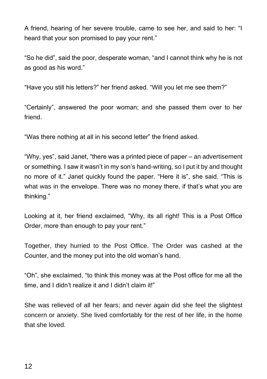A friend, hearing of her severe trouble, came to see her, and said to her: "I heard that your son promised to pay your rent."

"So he did", said the poor, desperate woman, "and I cannot think why he is not as good as his word."

"Have you still his letters?" her friend asked. "Will you let me see them?"

"Certainly", answered the poor woman; and she passed them over to her friend.

"Was there nothing at all in his second letter" the friend asked.

"Why, yes", said Janet, "there was a printed piece of paper – an advertisement or something. I saw it wasn't in my son's hand-writing, so I put it by and thought no more of it." Janet quickly found the paper. "Here it is", she said. "This is what was in the envelope. There was no money there, if that's what you are thinking."

Looking at it, her friend exclaimed, "Why, its all right! This is a Post Office Order, more than enough to pay your rent."

Together, they hurried to the Post Office. The Order was cashed at the Counter, and the money put into the old woman's hand.

"Oh", she exclaimed, "to think this money was at the Post office for me all the time, and I didn't realize it and I didn't claim it!"

She was relieved of all her fears; and never again did she feel the slightest concern or anxiety. She lived comfortably for the rest of her life, in the home that she loved.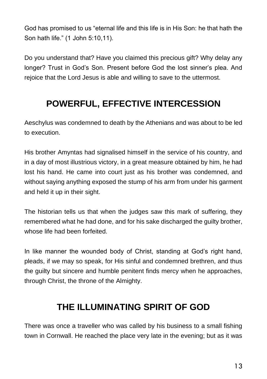God has promised to us "eternal life and this life is in His Son: he that hath the Son hath life." (1 John 5:10,11).

Do you understand that? Have you claimed this precious gift? Why delay any longer? Trust in God's Son. Present before God the lost sinner's plea. And rejoice that the Lord Jesus is able and willing to save to the uttermost.

## **POWERFUL, EFFECTIVE INTERCESSION**

Aeschylus was condemned to death by the Athenians and was about to be led to execution.

His brother Amyntas had signalised himself in the service of his country, and in a day of most illustrious victory, in a great measure obtained by him, he had lost his hand. He came into court just as his brother was condemned, and without saying anything exposed the stump of his arm from under his garment and held it up in their sight.

The historian tells us that when the judges saw this mark of suffering, they remembered what he had done, and for his sake discharged the guilty brother, whose life had been forfeited.

In like manner the wounded body of Christ, standing at God's right hand, pleads, if we may so speak, for His sinful and condemned brethren, and thus the guilty but sincere and humble penitent finds mercy when he approaches, through Christ, the throne of the Almighty.

### **THE ILLUMINATING SPIRIT OF GOD**

There was once a traveller who was called by his business to a small fishing town in Cornwall. He reached the place very late in the evening; but as it was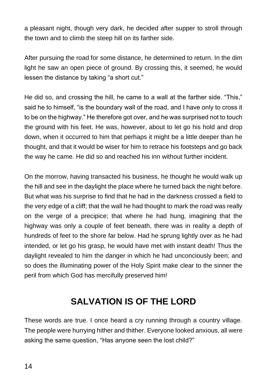a pleasant night, though very dark, he decided after supper to stroll through the town and to climb the steep hill on its farther side.

After pursuing the road for some distance, he determined to return. In the dim light he saw an open piece of ground. By crossing this, it seemed, he would lessen the distance by taking "a short cut."

He did so, and crossing the hill, he came to a wall at the farther side. "This," said he to himself, "is the boundary wall of the road, and I have only to cross it to be on the highway." He therefore got over, and he was surprised not to touch the ground with his feet. He was, however, about to let go his hold and drop down, when it occurred to him that perhaps it might be a little deeper than he thought, and that it would be wiser for him to retrace his footsteps and go back the way he came. He did so and reached his inn without further incident.

On the morrow, having transacted his business, he thought he would walk up the hill and see in the daylight the place where he turned back the night before. But what was his surprise to find that he had in the darkness crossed a field to the very edge of a cliff; that the wall he had thought to mark the road was really on the verge of a precipice; that where he had hung, imagining that the highway was only a couple of feet beneath, there was in reality a depth of hundreds of feet to the shore far below. Had he sprung lightly over as he had intended, or let go his grasp, he would have met with instant death! Thus the daylight revealed to him the danger in which he had unconciously been; and so does the illuminating power of the Holy Spirit make clear to the sinner the peril from which God has mercifully preserved him!

### **SALVATION IS OF THE LORD**

These words are true. I once heard a cry running through a country village. The people were hurrying hither and thither. Everyone looked anxious, all were asking the same question, "Has anyone seen the lost child?"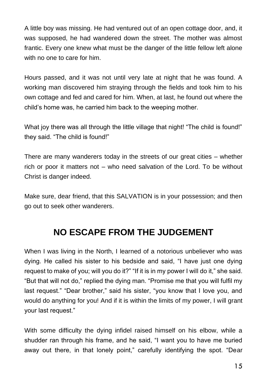A little boy was missing. He had ventured out of an open cottage door, and, it was supposed, he had wandered down the street. The mother was almost frantic. Every one knew what must be the danger of the little fellow left alone with no one to care for him.

Hours passed, and it was not until very late at night that he was found. A working man discovered him straying through the fields and took him to his own cottage and fed and cared for him. When, at last, he found out where the child's home was, he carried him back to the weeping mother.

What joy there was all through the little village that night! "The child is found!" they said. "The child is found!"

There are many wanderers today in the streets of our great cities – whether rich or poor it matters not – who need salvation of the Lord. To be without Christ is danger indeed.

Make sure, dear friend, that this SALVATION is in your possession; and then go out to seek other wanderers.

### **NO ESCAPE FROM THE JUDGEMENT**

When I was living in the North, I learned of a notorious unbeliever who was dying. He called his sister to his bedside and said, "I have just one dying request to make of you; will you do it?" "If it is in my power I will do it," she said. "But that will not do," replied the dying man. "Promise me that you will fulfil my last request." "Dear brother," said his sister, "you know that I love you, and would do anything for you! And if it is within the limits of my power, I will grant your last request."

With some difficulty the dying infidel raised himself on his elbow, while a shudder ran through his frame, and he said, "I want you to have me buried away out there, in that lonely point," carefully identifying the spot. "Dear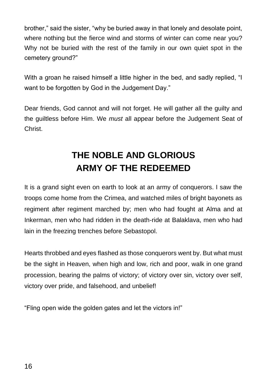brother," said the sister, "why be buried away in that lonely and desolate point, where nothing but the fierce wind and storms of winter can come near you? Why not be buried with the rest of the family in our own quiet spot in the cemetery ground?"

With a groan he raised himself a little higher in the bed, and sadly replied, "I want to be forgotten by God in the Judgement Day."

Dear friends, God cannot and will not forget. He will gather all the guilty and the guiltless before Him. We *must* all appear before the Judgement Seat of Christ.

## **THE NOBLE AND GLORIOUS ARMY OF THE REDEEMED**

It is a grand sight even on earth to look at an army of conquerors. I saw the troops come home from the Crimea, and watched miles of bright bayonets as regiment after regiment marched by; men who had fought at Alma and at Inkerman, men who had ridden in the death-ride at Balaklava, men who had lain in the freezing trenches before Sebastopol.

Hearts throbbed and eyes flashed as those conquerors went by. But what must be the sight in Heaven, when high and low, rich and poor, walk in one grand procession, bearing the palms of victory; of victory over sin, victory over self, victory over pride, and falsehood, and unbelief!

"Fling open wide the golden gates and let the victors in!"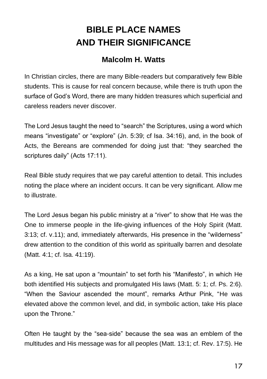## **BIBLE PLACE NAMES AND THEIR SIGNIFICANCE**

#### **Malcolm H. Watts**

In Christian circles, there are many Bible-readers but comparatively few Bible students. This is cause for real concern because, while there is truth upon the surface of God's Word, there are many hidden treasures which superficial and careless readers never discover.

The Lord Jesus taught the need to "search" the Scriptures, using a word which means "investigate" or "explore" (Jn. 5:39; cf Isa. 34:16), and, in the book of Acts, the Bereans are commended for doing just that: "they searched the scriptures daily" (Acts 17:11).

Real Bible study requires that we pay careful attention to detail. This includes noting the place where an incident occurs. It can be very significant. Allow me to illustrate.

The Lord Jesus began his public ministry at a "river" to show that He was the One to immerse people in the life-giving influences of the Holy Spirit (Matt. 3:13; cf. v.11); and, immediately afterwards, His presence in the "wilderness" drew attention to the condition of this world as spiritually barren and desolate (Matt. 4:1; cf. Isa. 41:19).

As a king, He sat upon a "mountain" to set forth his "Manifesto", in which He both identified His subjects and promulgated His laws (Matt. 5: 1; cf. Ps. 2:6). "When the Saviour ascended the mount", remarks Arthur Pink, "He was elevated above the common level, and did, in symbolic action, take His place upon the Throne."

Often He taught by the "sea-side" because the sea was an emblem of the multitudes and His message was for all peoples (Matt. 13:1; cf. Rev. 17:5). He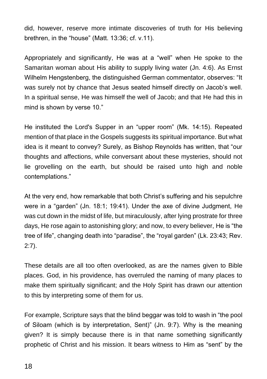did, however, reserve more intimate discoveries of truth for His believing brethren, in the "house" (Matt. 13:36; cf. v.11).

Appropriately and significantly, He was at a "well" when He spoke to the Samaritan woman about His ability to supply living water (Jn. 4:6). As Ernst Wilhelm Hengstenberg, the distinguished German commentator, observes: "It was surely not by chance that Jesus seated himself directly on Jacob's well. In a spiritual sense, He was himself the well of Jacob; and that He had this in mind is shown by verse 10."

He instituted the Lord's Supper in an "upper room" (Mk. 14:15). Repeated mention of that place in the Gospels suggests its spiritual importance. But what idea is it meant to convey? Surely, as Bishop Reynolds has written, that "our thoughts and affections, while conversant about these mysteries, should not lie grovelling on the earth, but should be raised unto high and noble contemplations."

At the very end, how remarkable that both Christ's suffering and his sepulchre were in a "garden" (Jn. 18:1; 19:41). Under the axe of divine Judgment, He was cut down in the midst of life, but miraculously, after lying prostrate for three days, He rose again to astonishing glory; and now, to every believer, He is "the tree of life", changing death into "paradise", the "royal garden" (Lk. 23:43; Rev. 2:7).

These details are all too often overlooked, as are the names given to Bible places. God, in his providence, has overruled the naming of many places to make them spiritually significant; and the Holy Spirit has drawn our attention to this by interpreting some of them for us.

For example, Scripture says that the blind beggar was told to wash in "the pool of Siloam (which is by interpretation, Sent)" (Jn. 9:7). Why is the meaning given? It is simply because there is in that name something significantly prophetic of Christ and his mission. It bears witness to Him as "sent" by the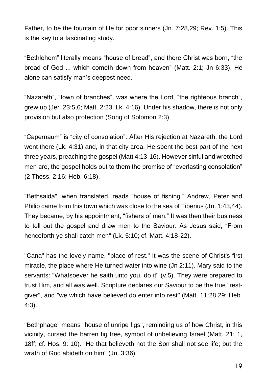Father, to be the fountain of life for poor sinners (Jn. 7:28,29; Rev. 1:5). This is the key to a fascinating study.

"Bethlehem" literally means "house of bread", and there Christ was born, "the bread of God ... which cometh down from heaven" (Matt. 2:1; Jn 6:33). He alone can satisfy man's deepest need.

"Nazareth", "town of branches", was where the Lord, "the righteous branch", grew up (Jer. 23:5,6; Matt. 2:23; Lk. 4:16). Under his shadow, there is not only provision but also protection (Song of Solomon 2:3).

"Capernaum" is "city of consolation". After His rejection at Nazareth, the Lord went there (Lk. 4:31) and, in that city area, He spent the best part of the next three years, preaching the gospel (Matt 4:13-16). However sinful and wretched men are, the gospel holds out to them the promise of "everlasting consolation" (2 Thess. 2:16; Heb. 6:18).

"Bethsaida", when translated, reads "house of fishing." Andrew, Peter and Philip came from this town which was close to the sea of Tiberius (Jn. 1:43,44). They became, by his appointment, "fishers of men." It was then their business to tell out the gospel and draw men to the Saviour. As Jesus said, "From henceforth ye shall catch men" (Lk. 5:10; cf. Matt. 4:18-22).

"Cana" has the lovely name, "place of rest." It was the scene of Christ's first miracle, the place where He turned water into wine (Jn 2:11). Mary said to the servants: "Whatsoever he saith unto you, do it" (v.5). They were prepared to trust Him, and all was well. Scripture declares our Saviour to be the true "restgiver", and "we which have believed do enter into rest" (Matt. 11:28,29; Heb. 4:3).

"Bethphage" means "house of unripe figs", reminding us of how Christ, in this vicinity, cursed the barren fig tree, symbol of unbelieving Israel (Matt. 21: 1, 18ff; cf. Hos. 9: 10). "He that believeth not the Son shall not see life; but the wrath of God abideth on him" (Jn. 3:36).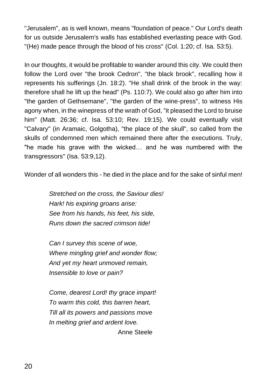"Jerusalem", as is well known, means "foundation of peace." Our Lord's death for us outside Jerusalem's walls has established everlasting peace with God. "(He) made peace through the blood of his cross" (Col. 1:20; cf. Isa. 53:5).

In our thoughts, it would be profitable to wander around this city. We could then follow the Lord over "the brook Cedron", "the black brook", recalling how it represents his sufferings (Jn. 18:2). "He shall drink of the brook in the way: therefore shall he lift up the head" (Ps. 110:7). We could also go after him into "the garden of Gethsemane", "the garden of the wine-press", to witness His agony when, in the winepress of the wrath of God, "it pleased the Lord to bruise him" (Matt. 26:36; cf. Isa. 53:10; Rev. 19:15). We could eventually visit "Calvary" (in Aramaic, Golgotha), "the place of the skull", so called from the skulls of condemned men which remained there after the executions. Truly, "he made his grave with the wicked… and he was numbered with the transgressors" (Isa. 53:9,12).

Wonder of all wonders this - he died in the place and for the sake of sinful men!

*Stretched on the cross, the Saviour dies! Hark! his expiring groans arise: See from his hands, his feet, his side, Runs down the sacred crimson tide!* 

*Can I survey this scene of woe, Where mingling grief and wonder flow; And yet my heart unmoved remain, Insensible to love or pain?* 

*Come, dearest Lord! thy grace impart! To warm this cold, this barren heart, Till all its powers and passions move In melting grief and ardent love.*  Anne Steele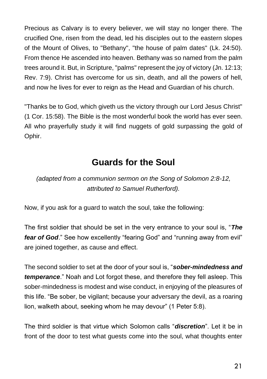Precious as Calvary is to every believer, we will stay no longer there. The crucified One, risen from the dead, led his disciples out to the eastern slopes of the Mount of Olives, to "Bethany", "the house of palm dates" (Lk. 24:50). From thence He ascended into heaven. Bethany was so named from the palm trees around it. But, in Scripture, "palms" represent the joy of victory (Jn. 12:13; Rev. 7:9). Christ has overcome for us sin, death, and all the powers of hell, and now he lives for ever to reign as the Head and Guardian of his church.

"Thanks be to God, which giveth us the victory through our Lord Jesus Christ" (1 Cor. 15:58). The Bible is the most wonderful book the world has ever seen. All who prayerfully study it will find nuggets of gold surpassing the gold of Ophir.

### **Guards for the Soul**

*(adapted from a communion sermon on the Song of Solomon 2:8-12, attributed to Samuel Rutherford).*

Now, if you ask for a guard to watch the soul, take the following:

The first soldier that should be set in the very entrance to your soul is, "*The fear of God*." See how excellently "fearing God" and "running away from evil" are joined together, as cause and effect.

The second soldier to set at the door of your soul is, "*sober-mindedness and temperance*." Noah and Lot forgot these, and therefore they fell asleep. This sober-mindedness is modest and wise conduct, in enjoying of the pleasures of this life. "Be sober, be vigilant; because your adversary the devil, as a roaring lion, walketh about, seeking whom he may devour" (1 Peter 5:8).

The third soldier is that virtue which Solomon calls "*discretion*". Let it be in front of the door to test what guests come into the soul, what thoughts enter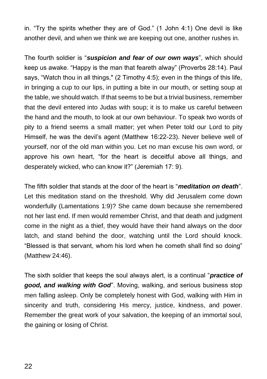in. "Try the spirits whether they are of God." (1 John 4:1) One devil is like another devil, and when we think we are keeping out one, another rushes in.

The fourth soldier is "*suspicion and fear of our own ways*", which should keep us awake. "Happy is the man that feareth alway" (Proverbs 28:14). Paul says, "Watch thou in all things," (2 Timothy 4:5); even in the things of this life, in bringing a cup to our lips, in putting a bite in our mouth, or setting soup at the table, we should watch. If that seems to be but a trivial business, remember that the devil entered into Judas with soup; it is to make us careful between the hand and the mouth, to look at our own behaviour. To speak two words of pity to a friend seems a small matter; yet when Peter told our Lord to pity Himself, he was the devil's agent (Matthew 16:22-23). Never believe well of yourself, nor of the old man within you. Let no man excuse his own word, or approve his own heart, "for the heart is deceitful above all things, and desperately wicked, who can know it?" (Jeremiah 17: 9).

The fifth soldier that stands at the door of the heart is "*meditation on death*". Let this meditation stand on the threshold. Why did Jerusalem come down wonderfully (Lamentations 1:9)? She came down because she remembered not her last end. If men would remember Christ, and that death and judgment come in the night as a thief, they would have their hand always on the door latch, and stand behind the door, watching until the Lord should knock. "Blessed is that servant, whom his lord when he cometh shall find so doing" (Matthew 24:46).

The sixth soldier that keeps the soul always alert, is a continual "*practice of good, and walking with God*". Moving, walking, and serious business stop men falling asleep. Only be completely honest with God, walking with Him in sincerity and truth, considering His mercy, justice, kindness, and power. Remember the great work of your salvation, the keeping of an immortal soul, the gaining or losing of Christ.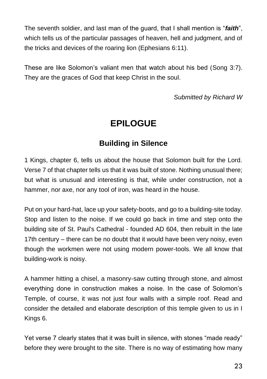The seventh soldier, and last man of the guard, that I shall mention is "*faith*", which tells us of the particular passages of heaven, hell and judgment, and of the tricks and devices of the roaring lion (Ephesians 6:11).

These are like Solomon's valiant men that watch about his bed (Song 3:7). They are the graces of God that keep Christ in the soul.

*Submitted by Richard W*

### **EPILOGUE**

#### **Building in Silence**

1 Kings, chapter 6, tells us about the house that Solomon built for the Lord. Verse 7 of that chapter tells us that it was built of stone. Nothing unusual there; but what is unusual and interesting is that, while under construction, not a hammer, nor axe, nor any tool of iron, was heard in the house.

Put on your hard-hat, lace up your safety-boots, and go to a building-site today. Stop and listen to the noise. If we could go back in time and step onto the building site of St. Paul's Cathedral - founded AD 604, then rebuilt in the late 17th century – there can be no doubt that it would have been very noisy, even though the workmen were not using modern power-tools. We all know that building-work is noisy.

A hammer hitting a chisel, a masonry-saw cutting through stone, and almost everything done in construction makes a noise. In the case of Solomon's Temple, of course, it was not just four walls with a simple roof. Read and consider the detailed and elaborate description of this temple given to us in I Kings 6.

Yet verse 7 clearly states that it was built in silence, with stones "made ready" before they were brought to the site. There is no way of estimating how many